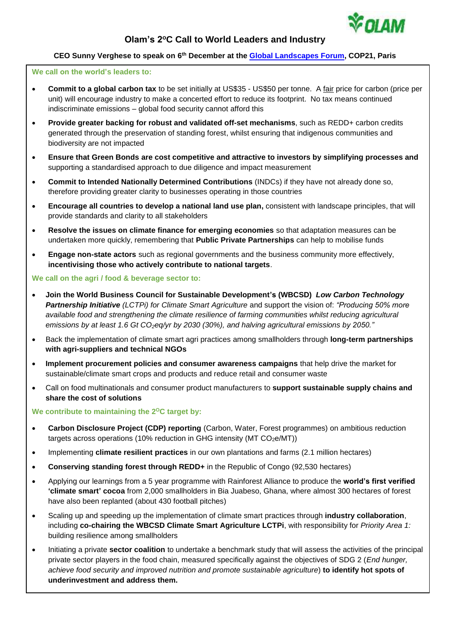

# **Olam's 2<sup>o</sup>C Call to World Leaders and Industry**

# **CEO Sunny Verghese to speak on 6 th December at the [Global Landscapes Forum,](http://www.landscapes.org/glf-2015/) COP21, Paris**

# **We call on the world's leaders to:**

- **Commit to a global carbon tax** to be set initially at US\$35 US\$50 per tonne. A fair price for carbon (price per unit) will encourage industry to make a concerted effort to reduce its footprint. No tax means continued indiscriminate emissions – global food security cannot afford this
- **Provide greater backing for robust and validated off-set mechanisms**, such as REDD+ carbon credits generated through the preservation of standing forest, whilst ensuring that indigenous communities and biodiversity are not impacted
- **Ensure that Green Bonds are cost competitive and attractive to investors by simplifying processes and**  supporting a standardised approach to due diligence and impact measurement
- **Commit to Intended Nationally Determined Contributions** (INDCs) if they have not already done so, therefore providing greater clarity to businesses operating in those countries
- **Encourage all countries to develop a national land use plan,** consistent with landscape principles, that will provide standards and clarity to all stakeholders
- **Resolve the issues on climate finance for emerging economies** so that adaptation measures can be undertaken more quickly, remembering that **Public Private Partnerships** can help to mobilise funds
- **Engage non-state actors** such as regional governments and the business community more effectively, **incentivising those who actively contribute to national targets**.

### **We call on the agri / food & beverage sector to:**

- **Join the World Business Council for Sustainable Development's (WBCSD)** *Low Carbon Technology Partnership Initiative (LCTPi) for Climate Smart Agriculture* and support the vision of: *"Producing 50% more available food and strengthening the climate resilience of farming communities whilst reducing agricultural emissions by at least 1.6 Gt CO2eq/yr by 2030 (30%), and halving agricultural emissions by 2050."*
- Back the implementation of climate smart agri practices among smallholders through **long-term partnerships with agri-suppliers and technical NGOs**
- **Implement procurement policies and consumer awareness campaigns** that help drive the market for sustainable/climate smart crops and products and reduce retail and consumer waste
- Call on food multinationals and consumer product manufacturers to **support sustainable supply chains and share the cost of solutions**

#### **We contribute to maintaining the 2<sup>o</sup>C target by:**

- **Carbon Disclosure Project (CDP) reporting** (Carbon, Water, Forest programmes) on ambitious reduction targets across operations (10% reduction in GHG intensity ( $MT CO<sub>2</sub>e/MT$ ))
- Implementing **climate resilient practices** in our own plantations and farms (2.1 million hectares)
- **Conserving standing forest through REDD+** in the Republic of Congo (92,530 hectares)
- Applying our learnings from a 5 year programme with Rainforest Alliance to produce the **world's first verified 'climate smart' cocoa** from 2,000 smallholders in Bia Juabeso, Ghana, where almost 300 hectares of forest have also been replanted (about 430 football pitches)
- Scaling up and speeding up the implementation of climate smart practices through **industry collaboration**, including **co-chairing the WBCSD Climate Smart Agriculture LCTPi**, with responsibility for *Priority Area 1:*  building resilience among smallholders
- Initiating a private **sector coalition** to undertake a benchmark study that will assess the activities of the principal private sector players in the food chain, measured specifically against the objectives of SDG 2 (*End hunger, achieve food security and improved nutrition and promote sustainable agriculture*) **to identify hot spots of underinvestment and address them.**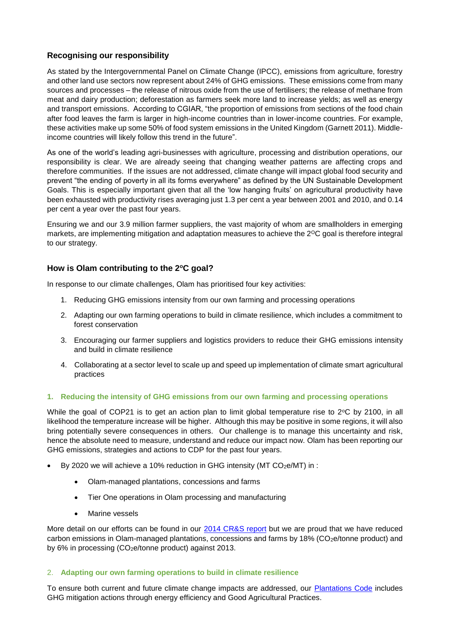# **Recognising our responsibility**

As stated by the Intergovernmental Panel on Climate Change (IPCC), emissions from agriculture, forestry and other land use sectors now represent about 24% of GHG emissions. These emissions come from many sources and processes – the release of nitrous oxide from the use of fertilisers; the release of methane from meat and dairy production; deforestation as farmers seek more land to increase yields; as well as energy and transport emissions. According to CGIAR, "the proportion of emissions from sections of the food chain after food leaves the farm is larger in high-income countries than in lower-income countries. For example, these activities make up some 50% of food system emissions in the United Kingdom (Garnett 2011). Middleincome countries will likely follow this trend in the future".

As one of the world's leading agri-businesses with agriculture, processing and distribution operations, our responsibility is clear. We are already seeing that changing weather patterns are affecting crops and therefore communities. If the issues are not addressed, climate change will impact global food security and prevent "the ending of poverty in all its forms everywhere" as defined by the UN Sustainable Development Goals. This is especially important given that all the 'low hanging fruits' on agricultural productivity have been exhausted with productivity rises averaging just 1.3 per cent a year between 2001 and 2010, and 0.14 per cent a year over the past four years.

Ensuring we and our 3.9 million farmer suppliers, the vast majority of whom are smallholders in emerging markets, are implementing mitigation and adaptation measures to achieve the 2<sup>o</sup>C goal is therefore integral to our strategy.

# **How is Olam contributing to the 2<sup>o</sup>C goal?**

In response to our climate challenges, Olam has prioritised four key activities:

- 1. Reducing GHG emissions intensity from our own farming and processing operations
- 2. Adapting our own farming operations to build in climate resilience, which includes a commitment to forest conservation
- 3. Encouraging our farmer suppliers and logistics providers to reduce their GHG emissions intensity and build in climate resilience
- 4. Collaborating at a sector level to scale up and speed up implementation of climate smart agricultural practices

# **1. Reducing the intensity of GHG emissions from our own farming and processing operations**

While the goal of COP21 is to get an action plan to limit global temperature rise to  $2^{\circ}$ C by 2100, in all likelihood the temperature increase will be higher. Although this may be positive in some regions, it will also bring potentially severe consequences in others. Our challenge is to manage this uncertainty and risk, hence the absolute need to measure, understand and reduce our impact now. Olam has been reporting our GHG emissions, strategies and actions to CDP for the past four years.

- By 2020 we will achieve a 10% reduction in GHG intensity (MT  $CO<sub>2</sub>e/MT$ ) in :
	- Olam-managed plantations, concessions and farms
	- Tier One operations in Olam processing and manufacturing
	- Marine vessels

More detail on our efforts can be found in our [2014 CR&S report](http://49tmko49h46b4e0czy3rlqaye1b.wpengine.netdna-cdn.com/wp-content/uploads/2014/02/Olam-CRS-Report-2014.pdf) but we are proud that we have reduced carbon emissions in Olam-managed plantations, concessions and farms by 18% (CO<sub>2</sub>e/tonne product) and by 6% in processing (CO2e/tonne product) against 2013.

# 2. **Adapting our own farming operations to build in climate resilience**

To ensure both current and future climate change impacts are addressed, our [Plantations Code](http://olamgroup.com/sustainability/codes-policies-2/olam-plantations-code/) includes GHG mitigation actions through energy efficiency and Good Agricultural Practices.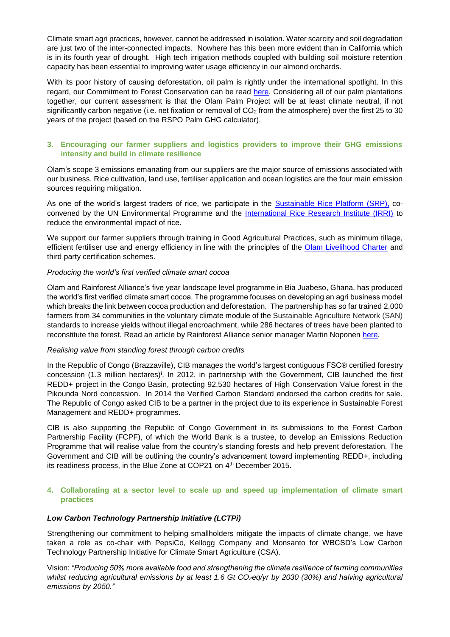Climate smart agri practices, however, cannot be addressed in isolation. Water scarcity and soil degradation are just two of the inter-connected impacts. Nowhere has this been more evident than in California which is in its fourth year of drought. High tech irrigation methods coupled with building soil moisture retention capacity has been essential to improving water usage efficiency in our almond orchards.

With its poor history of causing deforestation, oil palm is rightly under the international spotlight. In this regard, our Commitment to Forest Conservation can be read [here.](http://olamgroup.com/sustainability/codes-policies-2/palm-policy/) Considering all of our palm plantations together, our current assessment is that the Olam Palm Project will be at least climate neutral, if not significantly carbon negative (i.e. net fixation or removal of CO<sub>2</sub> from the atmosphere) over the first 25 to 30 years of the project (based on the RSPO Palm GHG calculator).

# **3. Encouraging our farmer suppliers and logistics providers to improve their GHG emissions intensity and build in climate resilience**

Olam's scope 3 emissions emanating from our suppliers are the major source of emissions associated with our business. Rice cultivation, land use, fertiliser application and ocean logistics are the four main emission sources requiring mitigation.

As one of the world's largest traders of rice, we participate in the [Sustainable Rice Platform \(SRP\),](http://www.sustainablerice.org/) coconvened by the UN Environmental Programme and the [International Rice Research Institute \(IRRI\)](http://irri.org/) to reduce the environmental impact of rice.

We support our farmer suppliers through training in Good Agricultural Practices, such as minimum tillage, efficient fertiliser use and energy efficiency in line with the principles of the [Olam Livelihood Charter](http://olamgroup.com/sustainability/olam-livelihood-charter/) and third party certification schemes.

### *Producing the world's first verified climate smart cocoa*

Olam and Rainforest Alliance's five year landscape level programme in Bia Juabeso, Ghana, has produced the world's first verified climate smart cocoa. The programme focuses on developing an agri business model which breaks the link between cocoa production and deforestation. The partnership has so far trained 2,000 farmers from 34 communities in the voluntary climate module of the Sustainable Agriculture Network (SAN) standards to increase yields without illegal encroachment, while 286 hectares of trees have been planted to reconstitute the forest. Read an article by Rainforest Alliance senior manager Martin Noponen [here.](http://olamgroup.com/blog/supporting-cocoa-smallholders-transcend-boundaries-climate-change-2/)

#### *Realising value from standing forest through carbon credits*

In the Republic of Congo (Brazzaville), CIB manages the world's largest contiguous FSC® certified forestry concession (1.3 million hectares)<sup>i</sup>. In 2012, in partnership with the Government, CIB launched the first REDD+ project in the Congo Basin, protecting 92,530 hectares of High Conservation Value forest in the Pikounda Nord concession. In 2014 the Verified Carbon Standard endorsed the carbon credits for sale. The Republic of Congo asked CIB to be a partner in the project due to its experience in Sustainable Forest Management and REDD+ programmes.

CIB is also supporting the Republic of Congo Government in its submissions to the Forest Carbon Partnership Facility (FCPF), of which the World Bank is a trustee, to develop an Emissions Reduction Programme that will realise value from the country's standing forests and help prevent deforestation. The Government and CIB will be outlining the country's advancement toward implementing REDD+, including its readiness process, in the Blue Zone at COP21 on 4<sup>th</sup> December 2015.

### **4. Collaborating at a sector level to scale up and speed up implementation of climate smart practices**

# *Low Carbon Technology Partnership Initiative (LCTPi)*

Strengthening our commitment to helping smallholders mitigate the impacts of climate change, we have taken a role as co-chair with PepsiCo, Kellogg Company and Monsanto for WBCSD's Low Carbon Technology Partnership Initiative for Climate Smart Agriculture (CSA).

Vision: *"Producing 50% more available food and strengthening the climate resilience of farming communities whilst reducing agricultural emissions by at least 1.6 Gt CO2eq/yr by 2030 (30%) and halving agricultural emissions by 2050."*